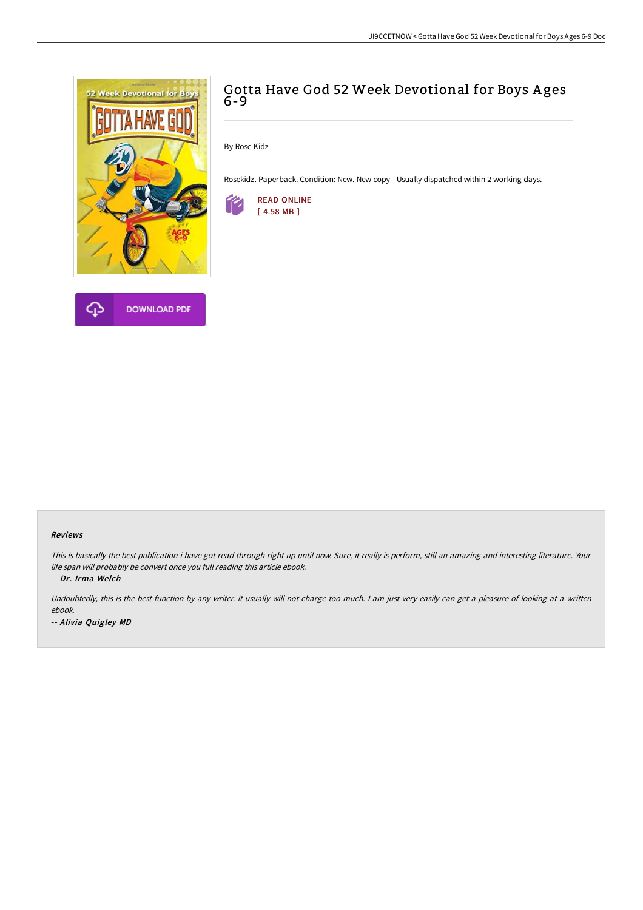

# Gotta Have God 52 Week Devotional for Boys A ges 6-9

By Rose Kidz

Rosekidz. Paperback. Condition: New. New copy - Usually dispatched within 2 working days.



#### Reviews

This is basically the best publication i have got read through right up until now. Sure, it really is perform, still an amazing and interesting literature. Your life span will probably be convert once you full reading this article ebook.

-- Dr. Irma Welch

Undoubtedly, this is the best function by any writer. It usually will not charge too much. I am just very easily can get a pleasure of looking at a written ebook. -- Alivia Quigley MD